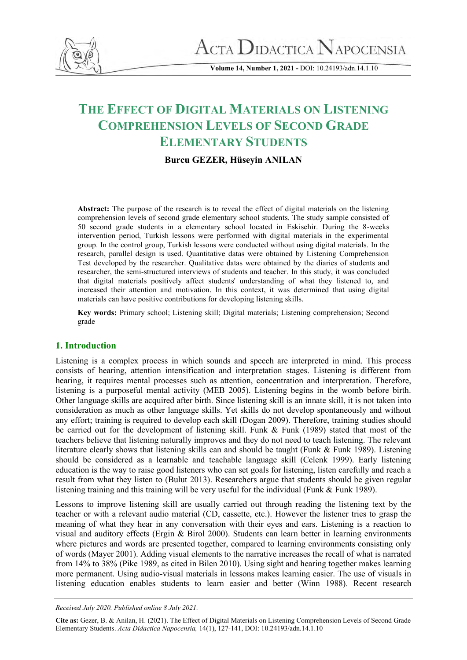

 $\Lambda$ CTA  $\rm D_{IDACTICA}$   $\rm N_{APOCENSIA}$ 

**Volume 14, Number 1, 2021 -** DOI: 10.24193/adn.14.1.10

# **THE EFFECT OF DIGITAL MATERIALS ON LISTENING COMPREHENSION LEVELS OF SECOND GRADE ELEMENTARY STUDENTS**

# **Burcu GEZER, Hüseyin ANILAN**

**Abstract:** The purpose of the research is to reveal the effect of digital materials on the listening comprehension levels of second grade elementary school students. The study sample consisted of 50 second grade students in a elementary school located in Eskisehir. During the 8-weeks intervention period, Turkish lessons were performed with digital materials in the experimental group. In the control group, Turkish lessons were conducted without using digital materials. In the research, parallel design is used. Quantitative datas were obtained by Listening Comprehension Test developed by the researcher. Qualitative datas were obtained by the diaries of students and researcher, the semi-structured interviews of students and teacher. In this study, it was concluded that digital materials positively affect students' understanding of what they listened to, and increased their attention and motivation. In this context, it was determined that using digital materials can have positive contributions for developing listening skills.

**Key words:** Primary school; Listening skill; Digital materials; Listening comprehension; Second grade

# **1. Introduction**

Listening is a complex process in which sounds and speech are interpreted in mind. This process consists of hearing, attention intensification and interpretation stages. Listening is different from hearing, it requires mental processes such as attention, concentration and interpretation. Therefore, listening is a purposeful mental activity (MEB 2005). Listening begins in the womb before birth. Other language skills are acquired after birth. Since listening skill is an innate skill, it is not taken into consideration as much as other language skills. Yet skills do not develop spontaneously and without any effort; training is required to develop each skill (Dogan 2009). Therefore, training studies should be carried out for the development of listening skill. Funk & Funk (1989) stated that most of the teachers believe that listening naturally improves and they do not need to teach listening. The relevant literature clearly shows that listening skills can and should be taught (Funk & Funk 1989). Listening should be considered as a learnable and teachable language skill (Celenk 1999). Early listening education is the way to raise good listeners who can set goals for listening, listen carefully and reach a result from what they listen to (Bulut 2013). Researchers argue that students should be given regular listening training and this training will be very useful for the individual (Funk & Funk 1989).

Lessons to improve listening skill are usually carried out through reading the listening text by the teacher or with a relevant audio material (CD, cassette, etc.). However the listener tries to grasp the meaning of what they hear in any conversation with their eyes and ears. Listening is a reaction to visual and auditory effects (Ergin & Birol 2000). Students can learn better in learning environments where pictures and words are presented together, compared to learning environments consisting only of words (Mayer 2001). Adding visual elements to the narrative increases the recall of what is narrated from 14% to 38% (Pike 1989, as cited in Bilen 2010). Using sight and hearing together makes learning more permanent. Using audio-visual materials in lessons makes learning easier. The use of visuals in listening education enables students to learn easier and better (Winn 1988). Recent research

*Received July 2020. Published online 8 July 2021.*

**Cite as:** Gezer, B. & Anilan, H. (2021). The Effect of Digital Materials on Listening Comprehension Levels of Second Grade Elementary Students. *Acta Didactica Napocensia,* 14(1), 127-141, DOI: 10.24193/adn.14.1.10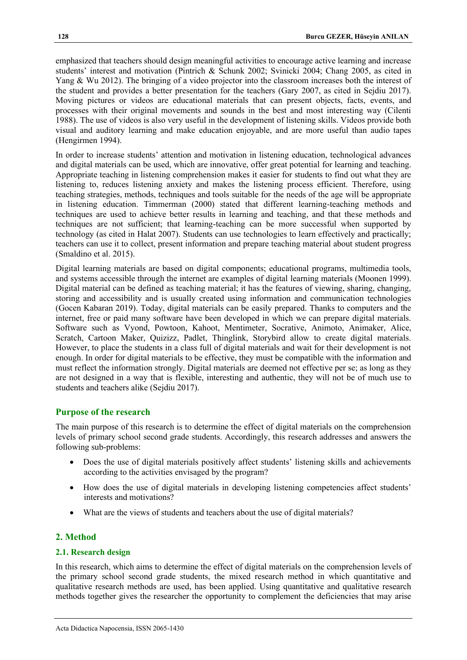emphasized that teachers should design meaningful activities to encourage active learning and increase students' interest and motivation (Pintrich & Schunk 2002; Svinicki 2004; Chang 2005, as cited in Yang & Wu 2012). The bringing of a video projector into the classroom increases both the interest of the student and provides a better presentation for the teachers (Gary 2007, as cited in Sejdiu 2017). Moving pictures or videos are educational materials that can present objects, facts, events, and processes with their original movements and sounds in the best and most interesting way (Cilenti 1988). The use of videos is also very useful in the development of listening skills. Videos provide both visual and auditory learning and make education enjoyable, and are more useful than audio tapes (Hengirmen 1994).

In order to increase students' attention and motivation in listening education, technological advances and digital materials can be used, which are innovative, offer great potential for learning and teaching. Appropriate teaching in listening comprehension makes it easier for students to find out what they are listening to, reduces listening anxiety and makes the listening process efficient. Therefore, using teaching strategies, methods, techniques and tools suitable for the needs of the age will be appropriate in listening education. Timmerman (2000) stated that different learning-teaching methods and techniques are used to achieve better results in learning and teaching, and that these methods and techniques are not sufficient; that learning-teaching can be more successful when supported by technology (as cited in Halat 2007). Students can use technologies to learn effectively and practically; teachers can use it to collect, present information and prepare teaching material about student progress (Smaldino et al. 2015).

Digital learning materials are based on digital components; educational programs, multimedia tools, and systems accessible through the internet are examples of digital learning materials (Moonen 1999). Digital material can be defined as teaching material; it has the features of viewing, sharing, changing, storing and accessibility and is usually created using information and communication technologies (Gocen Kabaran 2019). Today, digital materials can be easily prepared. Thanks to computers and the internet, free or paid many software have been developed in which we can prepare digital materials. Software such as Vyond, Powtoon, Kahoot, Mentimeter, Socrative, Animoto, Animaker, Alice, Scratch, Cartoon Maker, Quizizz, Padlet, Thinglink, Storybird allow to create digital materials. However, to place the students in a class full of digital materials and wait for their development is not enough. In order for digital materials to be effective, they must be compatible with the information and must reflect the information strongly. Digital materials are deemed not effective per se; as long as they are not designed in a way that is flexible, interesting and authentic, they will not be of much use to students and teachers alike (Sejdiu 2017).

## **Purpose of the research**

The main purpose of this research is to determine the effect of digital materials on the comprehension levels of primary school second grade students. Accordingly, this research addresses and answers the following sub-problems:

- Does the use of digital materials positively affect students' listening skills and achievements according to the activities envisaged by the program?
- How does the use of digital materials in developing listening competencies affect students' interests and motivations?
- What are the views of students and teachers about the use of digital materials?

## **2. Method**

## **2.1. Research design**

In this research, which aims to determine the effect of digital materials on the comprehension levels of the primary school second grade students, the mixed research method in which quantitative and qualitative research methods are used, has been applied. Using quantitative and qualitative research methods together gives the researcher the opportunity to complement the deficiencies that may arise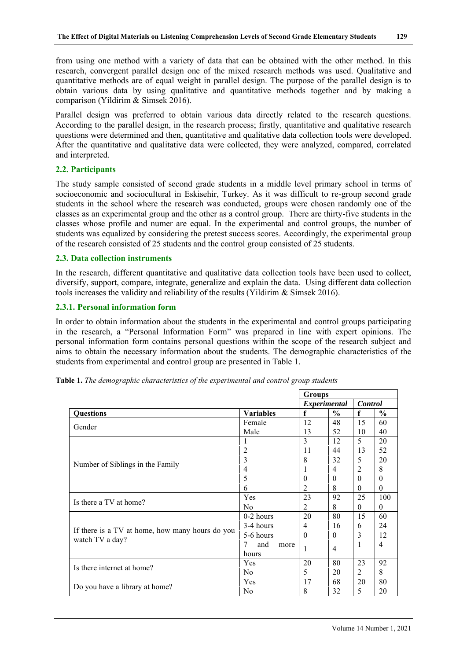from using one method with a variety of data that can be obtained with the other method. In this research, convergent parallel design one of the mixed research methods was used. Qualitative and quantitative methods are of equal weight in parallel design. The purpose of the parallel design is to obtain various data by using qualitative and quantitative methods together and by making a comparison (Yildirim & Simsek 2016).

Parallel design was preferred to obtain various data directly related to the research questions. According to the parallel design, in the research process; firstly, quantitative and qualitative research questions were determined and then, quantitative and qualitative data collection tools were developed. After the quantitative and qualitative data were collected, they were analyzed, compared, correlated and interpreted.

## **2.2. Participants**

The study sample consisted of second grade students in a middle level primary school in terms of socioeconomic and sociocultural in Eskisehir, Turkey. As it was difficult to re-group second grade students in the school where the research was conducted, groups were chosen randomly one of the classes as an experimental group and the other as a control group. There are thirty-five students in the classes whose profile and numer are equal. In the experimental and control groups, the number of students was equalized by considering the pretest success scores. Accordingly, the experimental group of the research consisted of 25 students and the control group consisted of 25 students.

## **2.3. Data collection instruments**

In the research, different quantitative and qualitative data collection tools have been used to collect, diversify, support, compare, integrate, generalize and explain the data. Using different data collection tools increases the validity and reliability of the results (Yildirim & Simsek 2016).

## **2.3.1. Personal information form**

In order to obtain information about the students in the experimental and control groups participating in the research, a "Personal Information Form" was prepared in line with expert opinions. The personal information form contains personal questions within the scope of the research subject and aims to obtain the necessary information about the students. The demographic characteristics of the students from experimental and control group are presented in Table 1.

|                                                 |                  | <b>Groups</b> |                |                |               |
|-------------------------------------------------|------------------|---------------|----------------|----------------|---------------|
|                                                 |                  | Experimental  |                | <b>Control</b> |               |
| <b>Questions</b>                                | <b>Variables</b> | f             | $\frac{0}{0}$  | $\mathbf f$    | $\frac{6}{9}$ |
|                                                 | Female           | 12            | 48             | 15             | 60            |
| Gender                                          | Male             | 13            | 52             | 10             | 40            |
|                                                 | 1                | 3             | 12             | 5              | 20            |
|                                                 | 2                | 11            | 44             | 13             | 52            |
| Number of Siblings in the Family                | $\overline{3}$   | 8             | 32             | 5              | 20            |
|                                                 | 4                | 1             | 4              | 2              | 8             |
|                                                 | 5                | $\Omega$      | $\theta$       | $\Omega$       | $\Omega$      |
|                                                 | 6                | 2             | 8              | 0              | $\theta$      |
| Is there a TV at home?                          | Yes              | 23            | 92             | 25             | 100           |
|                                                 | N <sub>0</sub>   | 2             | 8              | $\theta$       | $\theta$      |
|                                                 | $0-2$ hours      | 20            | 80             | 15             | 60            |
|                                                 | 3-4 hours        | 4             | 16             | 6              | 24            |
| If there is a TV at home, how many hours do you | 5-6 hours        | $\theta$      | $\theta$       | 3              | 12            |
| watch TV a day?                                 | 7<br>and<br>more | 1             | $\overline{4}$ | 1              | 4             |
|                                                 | hours            |               |                |                |               |
| Is there internet at home?                      | Yes              | 20            | 80             | 23             | 92            |
|                                                 | N <sub>0</sub>   | 5             | 20             | 2              | 8             |
|                                                 | Yes              | 17            | 68             | 20             | 80            |
| Do you have a library at home?                  | N <sub>0</sub>   | 8             | 32             | 5              | 20            |

**Table 1.** *The demographic characteristics of the experimental and control group students*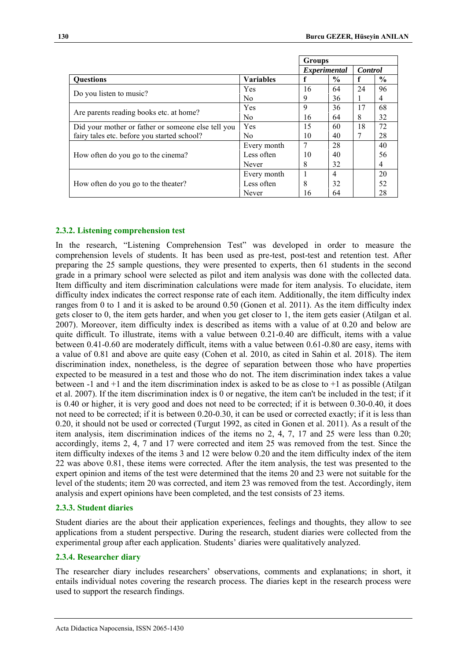|                                                    |                     | <b>Groups</b> |               |    |                |
|----------------------------------------------------|---------------------|---------------|---------------|----|----------------|
|                                                    | <i>Experimental</i> |               |               |    | <b>Control</b> |
| <b>Ouestions</b>                                   | <b>Variables</b>    |               | $\frac{0}{0}$ |    | $\frac{6}{9}$  |
|                                                    | Yes                 | 16            | 64            | 24 | 96             |
| Do you listen to music?                            | N <sub>0</sub>      | 9             | 36            |    | 4              |
|                                                    | Yes                 | 9             | 36            | 17 | 68             |
| Are parents reading books etc. at home?            | N <sub>0</sub>      | 16            | 64            | 8  | 32             |
| Did your mother or father or someone else tell you | Yes                 | 15            | 60            | 18 | 72             |
| fairy tales etc. before you started school?        | N <sub>0</sub>      | 10            | 40            | 7  | 28             |
|                                                    | Every month         | 7             | 28            |    | 40             |
| How often do you go to the cinema?                 | Less often          | 10            | 40            |    | 56             |
|                                                    | Never               | 8             | 32            |    | 4              |
|                                                    | Every month         |               | 4             |    | 20             |
| How often do you go to the theater?                | Less often          | 8             | 32            |    | 52             |
|                                                    | Never               | 16            | 64            |    | 28             |

## **2.3.2. Listening comprehension test**

In the research, "Listening Comprehension Test" was developed in order to measure the comprehension levels of students. It has been used as pre-test, post-test and retention test. After preparing the 25 sample questions, they were presented to experts, then 61 students in the second grade in a primary school were selected as pilot and item analysis was done with the collected data. Item difficulty and item discrimination calculations were made for item analysis. To elucidate, item difficulty index indicates the correct response rate of each item. Additionally, the item difficulty index ranges from 0 to 1 and it is asked to be around 0.50 (Gonen et al. 2011). As the item difficulty index gets closer to 0, the item gets harder, and when you get closer to 1, the item gets easier (Atilgan et al. 2007). Moreover, item difficulty index is described as items with a value of at 0.20 and below are quite difficult. To illustrate, items with a value between 0.21-0.40 are difficult, items with a value between 0.41-0.60 are moderately difficult, items with a value between 0.61-0.80 are easy, items with a value of 0.81 and above are quite easy (Cohen et al. 2010, as cited in Sahin et al. 2018). The item discrimination index, nonetheless, is the degree of separation between those who have properties expected to be measured in a test and those who do not. The item discrimination index takes a value between -1 and +1 and the item discrimination index is asked to be as close to +1 as possible (Atilgan et al. 2007). If the item discrimination index is 0 or negative, the item can't be included in the test; if it is 0.40 or higher, it is very good and does not need to be corrected; if it is between 0.30-0.40, it does not need to be corrected; if it is between 0.20-0.30, it can be used or corrected exactly; if it is less than 0.20, it should not be used or corrected (Turgut 1992, as cited in Gonen et al. 2011). As a result of the item analysis, item discrimination indices of the items no 2, 4, 7, 17 and 25 were less than 0.20; accordingly, items 2, 4, 7 and 17 were corrected and item 25 was removed from the test. Since the item difficulty indexes of the items 3 and 12 were below 0.20 and the item difficulty index of the item 22 was above 0.81, these items were corrected. After the item analysis, the test was presented to the expert opinion and items of the test were determined that the items 20 and 23 were not suitable for the level of the students; item 20 was corrected, and item 23 was removed from the test. Accordingly, item analysis and expert opinions have been completed, and the test consists of 23 items.

#### **2.3.3. Student diaries**

Student diaries are the about their application experiences, feelings and thoughts, they allow to see applications from a student perspective. During the research, student diaries were collected from the experimental group after each application. Students' diaries were qualitatively analyzed.

#### **2.3.4. Researcher diary**

The researcher diary includes researchers' observations, comments and explanations; in short, it entails individual notes covering the research process. The diaries kept in the research process were used to support the research findings.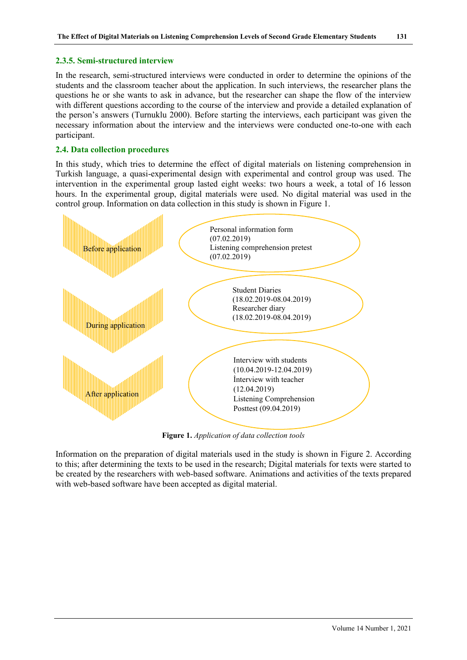## **2.3.5. Semi-structured interview**

In the research, semi-structured interviews were conducted in order to determine the opinions of the students and the classroom teacher about the application. In such interviews, the researcher plans the questions he or she wants to ask in advance, but the researcher can shape the flow of the interview with different questions according to the course of the interview and provide a detailed explanation of the person's answers (Turnuklu 2000). Before starting the interviews, each participant was given the necessary information about the interview and the interviews were conducted one-to-one with each participant.

## **2.4. Data collection procedures**

In this study, which tries to determine the effect of digital materials on listening comprehension in Turkish language, a quasi-experimental design with experimental and control group was used. The intervention in the experimental group lasted eight weeks: two hours a week, a total of 16 lesson hours. In the experimental group, digital materials were used. No digital material was used in the control group. Information on data collection in this study is shown in Figure 1.



**Figure 1.** *Application of data collection tools*

Information on the preparation of digital materials used in the study is shown in Figure 2. According to this; after determining the texts to be used in the research; Digital materials for texts were started to be created by the researchers with web-based software. Animations and activities of the texts prepared with web-based software have been accepted as digital material.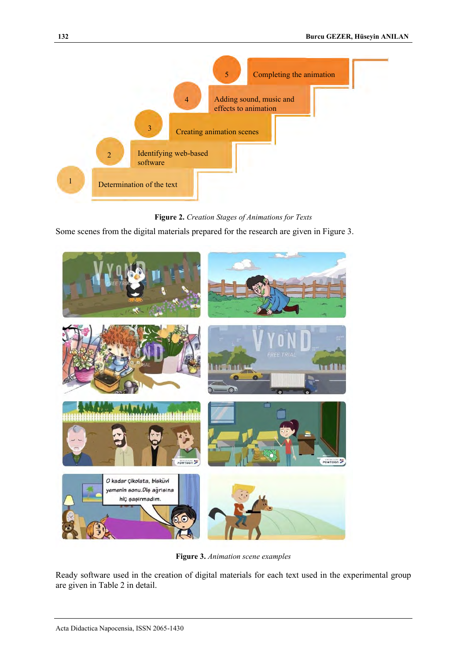

**Figure 2.** *Creation Stages of Animations for Texts*

Some scenes from the digital materials prepared for the research are given in Figure 3.



**Figure 3.** *Animation scene examples*

Ready software used in the creation of digital materials for each text used in the experimental group are given in Table 2 in detail.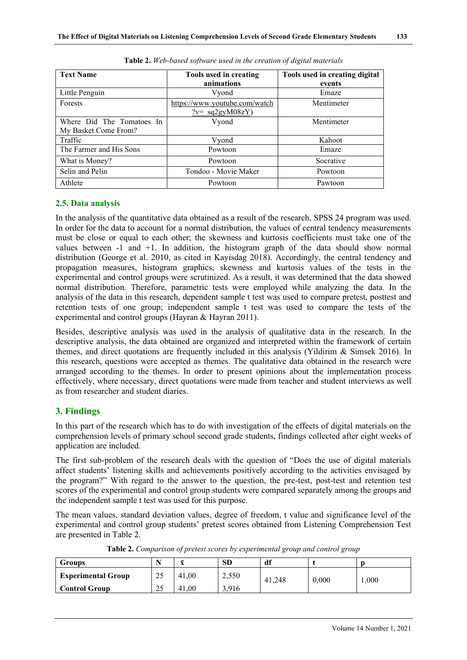| <b>Text Name</b>          | Tools used in creating<br>animations | Tools used in creating digital<br>events |
|---------------------------|--------------------------------------|------------------------------------------|
| Little Penguin            |                                      | Emaze                                    |
|                           | Vyond                                |                                          |
| Forests                   | https://www.youtube.com/watch        | Mentimeter                               |
|                           | $\frac{?v}{?v}$ sq2gyM08zY)          |                                          |
| Where Did The Tomatoes In | Vyond                                | Mentimeter                               |
| My Basket Come From?      |                                      |                                          |
| Traffic                   | Vyond                                | Kahoot                                   |
| The Farmer and His Sons   | Powtoon                              | Emaze                                    |
| What is Money?            | Powtoon                              | Socrative                                |
| Selin and Pelin           | Tondoo - Movie Maker                 | Powtoon                                  |
| Athlete                   | Powtoon                              | Pawtoon                                  |

| Table 2. Web-based software used in the creation of digital materials |  |  |  |  |
|-----------------------------------------------------------------------|--|--|--|--|
|                                                                       |  |  |  |  |

## **2.5. Data analysis**

In the analysis of the quantitative data obtained as a result of the research, SPSS 24 program was used. In order for the data to account for a normal distribution, the values of central tendency measurements must be close or equal to each other; the skewness and kurtosis coefficients must take one of the values between -1 and +1. In addition, the histogram graph of the data should show normal distribution (George et al. 2010, as cited in Kayisdag 2018). Accordingly, the central tendency and propagation measures, histogram graphics, skewness and kurtosis values of the tests in the **5**experimental and control groups were scrutinized. As a result, it was determined that the data showed normal distribution. Therefore, parametric tests were employed while analyzing the data. In the analysis of the data in this research, dependent sample t test was used to compare pretest, posttest and retention tests of one group; independent sample t test was used to compare the tests of the experimental and control groups (Hayran & Hayran 2011).

Besides, descriptive analysis was used in the analysis of qualitative data in the research. In the descriptive analysis, the data obtained are organized and interpreted within the framework of certain themes, and direct quotations are frequently included in this analysis (Yildirim & Simsek 2016). In this research, questions were accepted as themes. The qualitative data obtained in the research were arranged according to the themes. In order to present opinions about the implementation process effectively, where necessary, direct quotations were made from teacher and student interviews as well as from researcher and student diaries.

## **3. Findings**

In this part of the research which has to do with investigation of the effects of digital materials on the comprehension levels of primary school second grade students, findings collected after eight weeks of application are included.

The first sub-problem of the research deals with the question of "Does the use of digital materials affect students' listening skills and achievements positively according to the activities envisaged by the program?" With regard to the answer to the question, the pre-test, post-test and retention test scores of the experimental and control group students were compared separately among the groups and the independent sample t test was used for this purpose.

The mean values, standard deviation values, degree of freedom, t value and significance level of the experimental and control group students' pretest scores obtained from Listening Comprehension Test are presented in Table 2.

|                                       | Groups                    |    | $-$   | <b>SD</b> | df |  |
|---------------------------------------|---------------------------|----|-------|-----------|----|--|
| 25<br>0,000<br>1,000<br>41.248        | <b>Experimental Group</b> | nε | 41.00 | 2,550     |    |  |
| 25<br>3.916<br>41.00<br>Control Group |                           |    |       |           |    |  |

**Table 2.** *Comparison of pretest scores by experimental group and control group*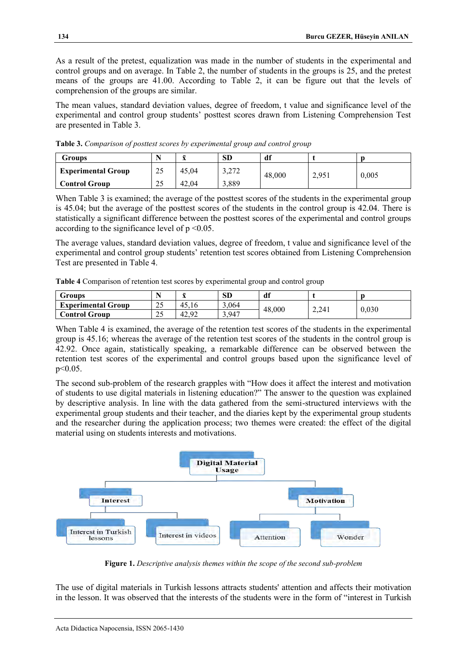As a result of the pretest, equalization was made in the number of students in the experimental and control groups and on average. In Table 2, the number of students in the groups is 25, and the pretest means of the groups are 41.00. According to Table 2, it can be figure out that the levels of comprehension of the groups are similar.

The mean values, standard deviation values, degree of freedom, t value and significance level of the experimental and control group students' posttest scores drawn from Listening Comprehension Test are presented in Table 3.

| Groups                    |    |       | <b>SD</b>     | df     |    |       |
|---------------------------|----|-------|---------------|--------|----|-------|
| <b>Experimental Group</b> | 25 | 45.04 | າາາ<br>J, L/L | 48,000 | 05 | 0,005 |
| <b>Control Group</b>      | 25 | 42.04 | 3,889         |        |    |       |

**Table 3.** *Comparison of posttest scores by experimental group and control group*

When Table 3 is examined; the average of the posttest scores of the students in the experimental group is 45.04; but the average of the posttest scores of the students in the control group is 42.04. There is statistically a significant difference between the posttest scores of the experimental and control groups according to the significance level of  $p \le 0.05$ .

The average values, standard deviation values, degree of freedom, t value and significance level of the experimental and control group students' retention test scores obtained from Listening Comprehension Test are presented in Table 4.

**Table 4** Comparison of retention test scores by experimental group and control group

| Groups                    |                          | -     | SD    | df     |       |       |
|---------------------------|--------------------------|-------|-------|--------|-------|-------|
| <b>Experimental Group</b> | $\sim$ $\epsilon$<br>ر گ | 45.16 | 3,064 | 48,000 |       |       |
| Control Group             | nε<br>ر ب                | 42.92 | 3,947 |        | 2.241 | 0,030 |

When Table 4 is examined, the average of the retention test scores of the students in the experimental group is 45.16; whereas the average of the retention test scores of the students in the control group is 42.92. Once again, statistically speaking, a remarkable difference can be observed between the retention test scores of the experimental and control groups based upon the significance level of p<0.05.

The second sub-problem of the research grapples with "How does it affect the interest and motivation of students to use digital materials in listening education?" The answer to the question was explained by descriptive analysis. In line with the data gathered from the semi-structured interviews with the experimental group students and their teacher, and the diaries kept by the experimental group students and the researcher during the application process; two themes were created: the effect of the digital material using on students interests and motivations.



**Figure 1.** *Descriptive analysis themes within the scope of the second sub-problem*

The use of digital materials in Turkish lessons attracts students' attention and affects their motivation in the lesson. It was observed that the interests of the students were in the form of "interest in Turkish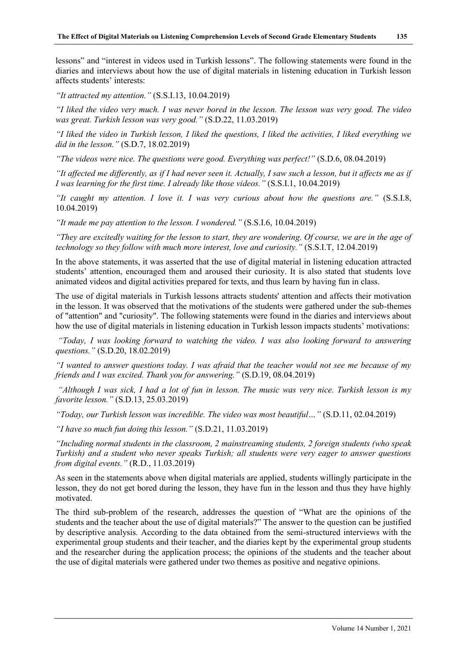lessons" and "interest in videos used in Turkish lessons". The following statements were found in the diaries and interviews about how the use of digital materials in listening education in Turkish lesson affects students' interests:

*"It attracted my attention."* (S.S.I.13, 10.04.2019)

*"I liked the video very much. I was never bored in the lesson. The lesson was very good. The video was great. Turkish lesson was very good."* (S.D.22, 11.03.2019)

*"I liked the video in Turkish lesson, I liked the questions, I liked the activities, I liked everything we did in the lesson."* (S.D.7, 18.02.2019)

*"The videos were nice. The questions were good. Everything was perfect!"* (S.D.6, 08.04.2019)

*"It affected me differently, as if I had never seen it. Actually, I saw such a lesson, but it affects me as if I was learning for the first time. I already like those videos."* (S.S.I.1, 10.04.2019)

*"It caught my attention. I love it. I was very curious about how the questions are."* (S.S.I.8, 10.04.2019)

*"It made me pay attention to the lesson. I wondered."* (S.S.I.6, 10.04.2019)

*"They are excitedly waiting for the lesson to start, they are wondering. Of course, we are in the age of technology so they follow with much more interest, love and curiosity."* (S.S.I.T, 12.04.2019)

In the above statements, it was asserted that the use of digital material in listening education attracted students' attention, encouraged them and aroused their curiosity. It is also stated that students love animated videos and digital activities prepared for texts, and thus learn by having fun in class.

The use of digital materials in Turkish lessons attracts students' attention and affects their motivation in the lesson. It was observed that the motivations of the students were gathered under the sub-themes of "attention" and "curiosity". The following statements were found in the diaries and interviews about how the use of digital materials in listening education in Turkish lesson impacts students' motivations:

*"Today, I was looking forward to watching the video. I was also looking forward to answering questions."* (S.D.20, 18.02.2019)

*"I wanted to answer questions today. I was afraid that the teacher would not see me because of my friends and I was excited. Thank you for answering."* (S.D.19, 08.04.2019)

*"Although I was sick, I had a lot of fun in lesson. The music was very nice. Turkish lesson is my favorite lesson."* (S.D.13, 25.03.2019)

*"Today, our Turkish lesson was incredible. The video was most beautiful…"* (S.D.11, 02.04.2019)

*"I have so much fun doing this lesson."* (S.D.21, 11.03.2019)

*"Including normal students in the classroom, 2 mainstreaming students, 2 foreign students (who speak Turkish) and a student who never speaks Turkish; all students were very eager to answer questions from digital events."* (R.D., 11.03.2019)

As seen in the statements above when digital materials are applied, students willingly participate in the lesson, they do not get bored during the lesson, they have fun in the lesson and thus they have highly motivated.

The third sub-problem of the research, addresses the question of "What are the opinions of the students and the teacher about the use of digital materials?" The answer to the question can be justified by descriptive analysis. According to the data obtained from the semi-structured interviews with the experimental group students and their teacher, and the diaries kept by the experimental group students and the researcher during the application process; the opinions of the students and the teacher about the use of digital materials were gathered under two themes as positive and negative opinions.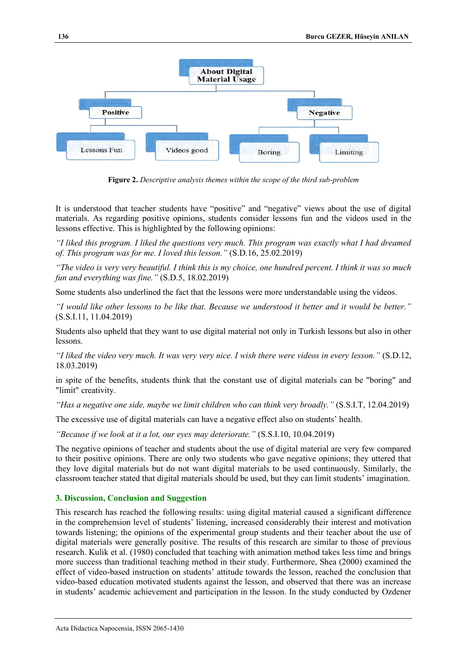

**Figure 2.** *Descriptive analysis themes within the scope of the third sub-problem*

It is understood that teacher students have "positive" and "negative" views about the use of digital materials. As regarding positive opinions, students consider lessons fun and the videos used in the lessons effective. This is highlighted by the following opinions:

*"I liked this program. I liked the questions very much. This program was exactly what I had dreamed of. This program was for me. I loved this lesson."* (S.D.16, 25.02.2019)

*"The video is very very beautiful. I think this is my choice, one hundred percent. I think it was so much fun and everything was fine."* (S.D.5, 18.02.2019)

Some students also underlined the fact that the lessons were more understandable using the videos.

*"I would like other lessons to be like that. Because we understood it better and it would be better."* (S.S.I.11, 11.04.2019)

Students also upheld that they want to use digital material not only in Turkish lessons but also in other lessons.

*"I liked the video very much. It was very very nice. I wish there were videos in every lesson."* (S.D.12, 18.03.2019)

in spite of the benefits, students think that the constant use of digital materials can be "boring" and "limit" creativity.

*"Has a negative one side, maybe we limit children who can think very broadly."* (S.S.I.T, 12.04.2019)

The excessive use of digital materials can have a negative effect also on students' health.

*"Because if we look at it a lot, our eyes may deteriorate."* (S.S.I.10, 10.04.2019)

The negative opinions of teacher and students about the use of digital material are very few compared to their positive opinions. There are only two students who gave negative opinions; they uttered that they love digital materials but do not want digital materials to be used continuously. Similarly, the classroom teacher stated that digital materials should be used, but they can limit students' imagination.

#### **3. Discussion, Conclusion and Suggestion**

This research has reached the following results: using digital material caused a significant difference in the comprehension level of students' listening, increased considerably their interest and motivation towards listening; the opinions of the experimental group students and their teacher about the use of digital materials were generally positive. The results of this research are similar to those of previous research. Kulik et al. (1980) concluded that teaching with animation method takes less time and brings more success than traditional teaching method in their study. Furthermore, Shea (2000) examined the effect of video-based instruction on students' attitude towards the lesson, reached the conclusion that video-based education motivated students against the lesson, and observed that there was an increase in students' academic achievement and participation in the lesson. In the study conducted by Ozdener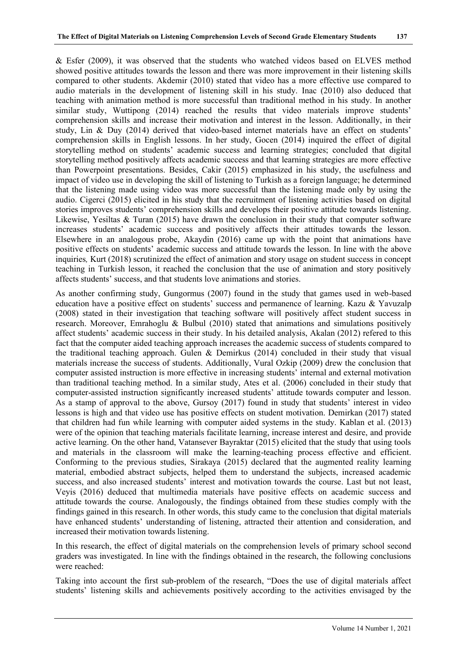& Esfer (2009), it was observed that the students who watched videos based on ELVES method showed positive attitudes towards the lesson and there was more improvement in their listening skills compared to other students. Akdemir (2010) stated that video has a more effective use compared to audio materials in the development of listening skill in his study. Inac (2010) also deduced that teaching with animation method is more successful than traditional method in his study. In another similar study, Wuttipong (2014) reached the results that video materials improve students' comprehension skills and increase their motivation and interest in the lesson. Additionally, in their study, Lin & Duy (2014) derived that video-based internet materials have an effect on students' comprehension skills in English lessons. In her study, Gocen (2014) inquired the effect of digital storytelling method on students' academic success and learning strategies; concluded that digital storytelling method positively affects academic success and that learning strategies are more effective than Powerpoint presentations. Besides, Cakir (2015) emphasized in his study, the usefulness and impact of video use in developing the skill of listening to Turkish as a foreign language; he determined that the listening made using video was more successful than the listening made only by using the audio. Cigerci (2015) elicited in his study that the recruitment of listening activities based on digital stories improves students' comprehension skills and develops their positive attitude towards listening. Likewise, Yesiltas & Turan (2015) have drawn the conclusion in their study that computer software increases students' academic success and positively affects their attitudes towards the lesson. Elsewhere in an analogous probe, Akaydin (2016) came up with the point that animations have positive effects on students' academic success and attitude towards the lesson. In line with the above inquiries*,* Kurt (2018) scrutinized the effect of animation and story usage on student success in concept teaching in Turkish lesson, it reached the conclusion that the use of animation and story positively affects students' success, and that students love animations and stories.

As another confirming study, Gungormus (2007) found in the study that games used in web-based education have a positive effect on students' success and permanence of learning. Kazu & Yavuzalp (2008) stated in their investigation that teaching software will positively affect student success in research. Moreover, Emrahoglu & Bulbul (2010) stated that animations and simulations positively affect students' academic success in their study. In his detailed analysis, Akalan (2012) refered to this fact that the computer aided teaching approach increases the academic success of students compared to the traditional teaching approach. Gulen & Demirkus (2014) concluded in their study that visual materials increase the success of students. Additionally, Vural Ozkip (2009) drew the conclusion that computer assisted instruction is more effective in increasing students' internal and external motivation than traditional teaching method. In a similar study, Ates et al. (2006) concluded in their study that computer-assisted instruction significantly increased students' attitude towards computer and lesson. As a stamp of approval to the above, Gursoy (2017) found in study that students' interest in video lessons is high and that video use has positive effects on student motivation. Demirkan (2017) stated that children had fun while learning with computer aided systems in the study. Kablan et al. (2013) were of the opinion that teaching materials facilitate learning, increase interest and desire, and provide active learning. On the other hand, Vatansever Bayraktar (2015) elicited that the study that using tools and materials in the classroom will make the learning-teaching process effective and efficient. Conforming to the previous studies, Sirakaya (2015) declared that the augmented reality learning material, embodied abstract subjects, helped them to understand the subjects, increased academic success, and also increased students' interest and motivation towards the course. Last but not least, Veyis (2016) deduced that multimedia materials have positive effects on academic success and attitude towards the course. Analogously, the findings obtained from these studies comply with the findings gained in this research. In other words, this study came to the conclusion that digital materials have enhanced students' understanding of listening, attracted their attention and consideration, and increased their motivation towards listening.

In this research, the effect of digital materials on the comprehension levels of primary school second graders was investigated. In line with the findings obtained in the research, the following conclusions were reached:

Taking into account the first sub-problem of the research, "Does the use of digital materials affect students' listening skills and achievements positively according to the activities envisaged by the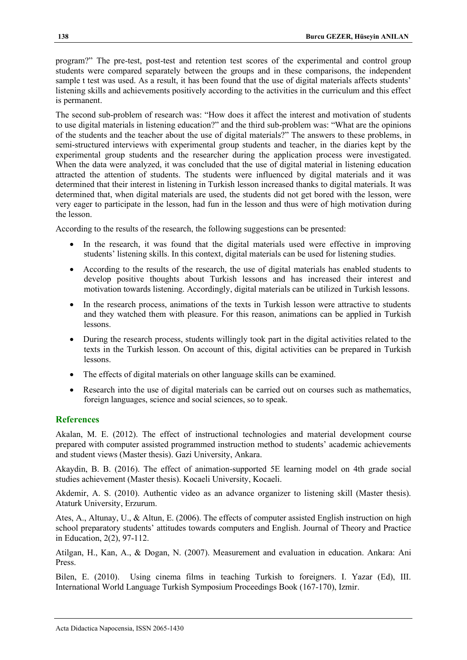program?" The pre-test, post-test and retention test scores of the experimental and control group students were compared separately between the groups and in these comparisons, the independent sample t test was used. As a result, it has been found that the use of digital materials affects students' listening skills and achievements positively according to the activities in the curriculum and this effect is permanent.

The second sub-problem of research was: "How does it affect the interest and motivation of students to use digital materials in listening education?" and the third sub-problem was: "What are the opinions of the students and the teacher about the use of digital materials?" The answers to these problems, in semi-structured interviews with experimental group students and teacher, in the diaries kept by the experimental group students and the researcher during the application process were investigated. When the data were analyzed, it was concluded that the use of digital material in listening education attracted the attention of students. The students were influenced by digital materials and it was determined that their interest in listening in Turkish lesson increased thanks to digital materials. It was determined that, when digital materials are used, the students did not get bored with the lesson, were very eager to participate in the lesson, had fun in the lesson and thus were of high motivation during the lesson.

According to the results of the research, the following suggestions can be presented:

- In the research, it was found that the digital materials used were effective in improving students' listening skills. In this context, digital materials can be used for listening studies.
- According to the results of the research, the use of digital materials has enabled students to develop positive thoughts about Turkish lessons and has increased their interest and motivation towards listening. Accordingly, digital materials can be utilized in Turkish lessons.
- In the research process, animations of the texts in Turkish lesson were attractive to students and they watched them with pleasure. For this reason, animations can be applied in Turkish lessons.
- During the research process, students willingly took part in the digital activities related to the texts in the Turkish lesson. On account of this, digital activities can be prepared in Turkish lessons.
- The effects of digital materials on other language skills can be examined.
- Research into the use of digital materials can be carried out on courses such as mathematics, foreign languages, science and social sciences, so to speak.

# **References**

Akalan, M. E. (2012). The effect of instructional technologies and material development course prepared with computer assisted programmed instruction method to students' academic achievements and student views (Master thesis). Gazi University, Ankara.

Akaydin, B. B. (2016). The effect of animation-supported 5E learning model on 4th grade social studies achievement (Master thesis). Kocaeli University, Kocaeli.

Akdemir, A. S. (2010). Authentic video as an advance organizer to listening skill (Master thesis). Ataturk University, Erzurum.

Ates, A., Altunay, U., & Altun, E. (2006). The effects of computer assisted English instruction on high school preparatory students' attitudes towards computers and English. Journal of Theory and Practice in Education, 2(2), 97-112.

Atilgan, H., Kan, A., & Dogan, N. (2007). Measurement and evaluation in education. Ankara: Ani Press.

Bilen, E. (2010). Using cinema films in teaching Turkish to foreigners. I. Yazar (Ed), III. International World Language Turkish Symposium Proceedings Book (167-170), Izmir.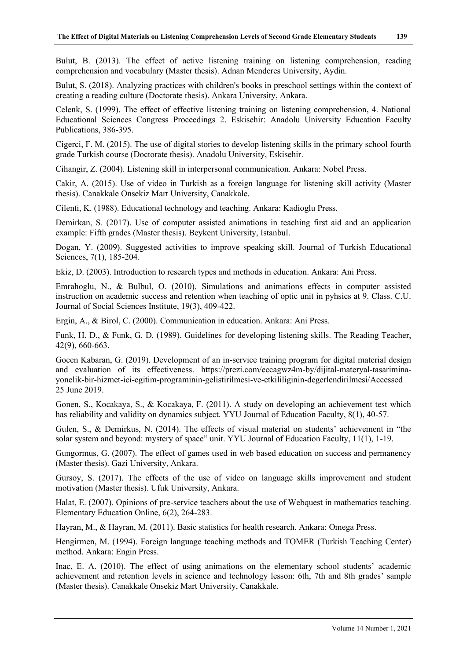Bulut, B. (2013). The effect of active listening training on listening comprehension, reading comprehension and vocabulary (Master thesis). Adnan Menderes University, Aydin.

Bulut, S. (2018). Analyzing practices with children's books in preschool settings within the context of creating a reading culture (Doctorate thesis). Ankara University, Ankara.

Celenk, S. (1999). The effect of effective listening training on listening comprehension, 4. National Educational Sciences Congress Proceedings 2. Eskisehir: Anadolu University Education Faculty Publications, 386-395.

Cigerci, F. M. (2015). The use of digital stories to develop listening skills in the primary school fourth grade Turkish course (Doctorate thesis). Anadolu University, Eskisehir.

Cihangir, Z. (2004). Listening skill in interpersonal communication. Ankara: Nobel Press.

Cakir, A. (2015). Use of video in Turkish as a foreign language for listening skill activity (Master thesis). Canakkale Onsekiz Mart University, Canakkale.

Cilenti, K. (1988). Educational technology and teaching. Ankara: Kadioglu Press.

Demirkan, S. (2017). Use of computer assisted animations in teaching first aid and an application example: Fifth grades (Master thesis). Beykent University, Istanbul.

Dogan, Y. (2009). Suggested activities to improve speaking skill. Journal of Turkish Educational Sciences, 7(1), 185-204.

Ekiz, D. (2003). Introduction to research types and methods in education. Ankara: Ani Press.

Emrahoglu, N., & Bulbul, O. (2010). Simulations and animations effects in computer assisted instruction on academic success and retention when teaching of optic unit in pyhsics at 9. Class. C.U. Journal of Social Sciences Institute, 19(3), 409-422.

Ergin, A., & Birol, C. (2000). Communication in education. Ankara: Ani Press.

Funk, H. D., & Funk, G. D. (1989). Guidelines for developing listening skills. The Reading Teacher, 42(9), 660-663.

Gocen Kabaran, G. (2019). Development of an in-service training program for digital material design and evaluation of its effectiveness. https://prezi.com/eccagwz4m-by/dijital-materyal-tasariminayonelik-bir-hizmet-ici-egitim-programinin-gelistirilmesi-ve-etkililiginin-degerlendirilmesi/Accessed 25 June 2019.

Gonen, S., Kocakaya, S., & Kocakaya, F. (2011). A study on developing an achievement test which has reliability and validity on dynamics subject. YYU Journal of Education Faculty, 8(1), 40-57.

Gulen, S., & Demirkus, N. (2014). The effects of visual material on students' achievement in "the solar system and beyond: mystery of space" unit. YYU Journal of Education Faculty, 11(1), 1-19.

Gungormus, G. (2007). The effect of games used in web based education on success and permanency (Master thesis). Gazi University, Ankara.

Gursoy, S. (2017). The effects of the use of video on language skills improvement and student motivation (Master thesis). Ufuk University, Ankara.

Halat, E. (2007). Opinions of pre-service teachers about the use of Webquest in mathematics teaching. Elementary Education Online, 6(2), 264-283.

Hayran, M., & Hayran, M. (2011). Basic statistics for health research. Ankara: Omega Press.

Hengirmen, M. (1994). Foreign language teaching methods and TOMER (Turkish Teaching Center) method. Ankara: Engin Press.

Inac, E. A. (2010). The effect of using animations on the elementary school students' academic achievement and retention levels in science and technology lesson: 6th, 7th and 8th grades' sample (Master thesis). Canakkale Onsekiz Mart University, Canakkale.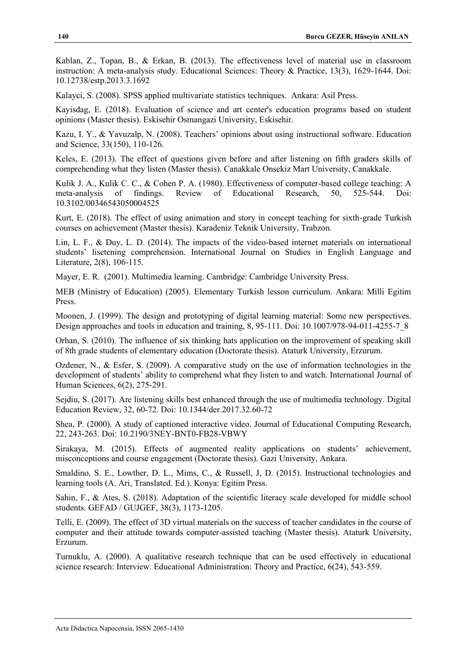Kablan, Z., Topan, B., & Erkan, B. (2013). The effectiveness level of material use in classroom instruction: A meta-analysis study. Educational Sciences: Theory & Practice, 13(3), 1629-1644. Doi: 10.12738/estp.2013.3.1692

Kalayci, S. (2008). SPSS applied multivariate statistics techniques. Ankara: Asil Press.

Kayisdag, E. (2018). Evaluation of science and art center's education programs based on student opinions (Master thesis). Eskisehir Osmangazi University, Eskisehir.

Kazu, I. Y., & Yavuzalp, N. (2008). Teachers' opinions about using instructional software. Education and Science, 33(150), 110-126.

Keles, E. (2013). The effect of questions given before and after listening on fifth graders skills of comprehending what they listen (Master thesis). Canakkale Onsekiz Mart University, Canakkale.

Kulik J. A., Kulik C. C., & Cohen P. A. (1980). Effectiveness of computer-based college teaching: A meta-analysis of findings. Review of Educational Research, 50, 525-544. Doi: 10.3102/00346543050004525

Kurt, E. (2018). The effect of using animation and story in concept teaching for sixth-grade Turkish courses on achievement (Master thesis). Karadeniz Teknik University, Trabzon.

Lin, L. F., & Duy, L. D. (2014). The impacts of the video-based internet materials on international students' lisetening comprehension. International Journal on Studies in English Language and Literature, 2(8), 106-115.

Mayer, E. R. (2001). Multimedia learning. Cambridge: Cambridge University Press.

MEB (Ministry of Education) (2005). Elementary Turkish lesson curriculum. Ankara: Milli Egitim Press.

Moonen, J. (1999). The design and prototyping of digital learning material: Some new perspectives. Design approaches and tools in education and training, 8, 95-111. Doi: 10.1007/978-94-011-4255-7\_8

Orhan, S. (2010). The influence of six thinking hats application on the improvement of speaking skill of 8th grade students of elementary education (Doctorate thesis). Ataturk University, Erzurum.

Ozdener, N., & Esfer, S. (2009). A comparative study on the use of information technologies in the development of students' ability to comprehend what they listen to and watch. International Journal of Human Sciences, 6(2), 275-291.

Sejdiu, S. (2017). Are listening skills best enhanced through the use of multimedia technology. Digital Education Review, 32, 60-72. Doi: 10.1344/der.2017.32.60-72

Shea, P. (2000). A study of captioned interactive video. Journal of Educational Computing Research, 22, 243-263. Doi: 10.2190/3NEY-BNT0-FB28-VBWY

Sirakaya, M. (2015). Effects of augmented reality applications on students' achievement, misconceptions and course engagement (Doctorate thesis). Gazi University, Ankara.

Smaldino, S. E., Lowther, D. L., Mims, C., & Russell, J, D. (2015). Instructional technologies and learning tools (A. Ari, Translated. Ed.). Konya: Egitim Press.

Sahin, F., & Ates, S. (2018). Adaptation of the scientific literacy scale developed for middle school students. GEFAD / GUJGEF, 38(3), 1173-1205.

Telli, E. (2009). The effect of 3D virtual materials on the success of teacher candidates in the course of computer and their attitude towards computer-assisted teaching (Master thesis). Ataturk University, Erzurum.

Turnuklu, A. (2000). A qualitative research technique that can be used effectively in educational science research: Interview. Educational Administration: Theory and Practice, 6(24), 543-559.